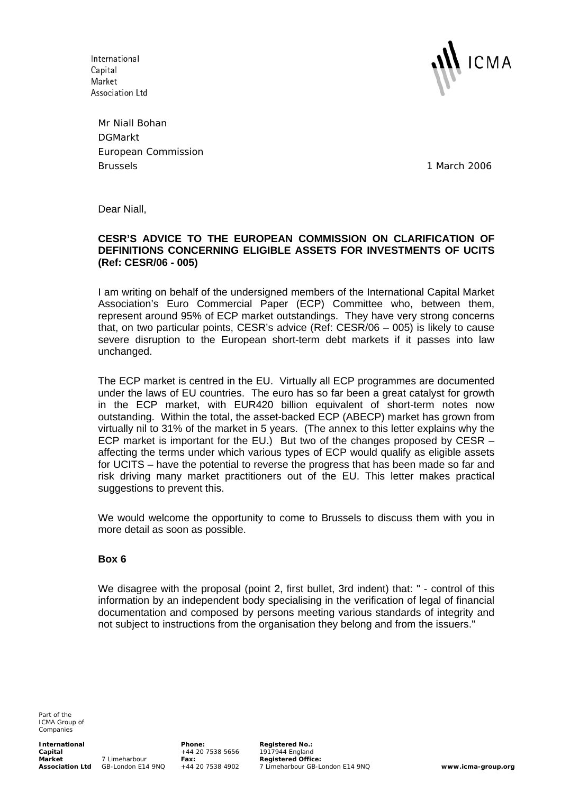International Capital Market Association Ltd



Mr Niall Bohan DGMarkt European Commission Brussels 1 March 2006

Dear Niall,

# **CESR'S ADVICE TO THE EUROPEAN COMMISSION ON CLARIFICATION OF DEFINITIONS CONCERNING ELIGIBLE ASSETS FOR INVESTMENTS OF UCITS (Ref: CESR/06 - 005)**

I am writing on behalf of the undersigned members of the International Capital Market Association's Euro Commercial Paper (ECP) Committee who, between them, represent around 95% of ECP market outstandings. They have very strong concerns that, on two particular points, CESR's advice (Ref: CESR/06 – 005) is likely to cause severe disruption to the European short-term debt markets if it passes into law unchanged.

The ECP market is centred in the EU. Virtually all ECP programmes are documented under the laws of EU countries. The euro has so far been a great catalyst for growth in the ECP market, with EUR420 billion equivalent of short-term notes now outstanding. Within the total, the asset-backed ECP (ABECP) market has grown from virtually nil to 31% of the market in 5 years. (The annex to this letter explains why the ECP market is important for the EU.) But two of the changes proposed by CESR – affecting the terms under which various types of ECP would qualify as eligible assets for UCITS – have the potential to reverse the progress that has been made so far and risk driving many market practitioners out of the EU. This letter makes practical suggestions to prevent this.

We would welcome the opportunity to come to Brussels to discuss them with you in more detail as soon as possible.

# **Box 6**

We disagree with the proposal (point 2, first bullet, 3rd indent) that: " - control of this information by an independent body specialising in the verification of legal of financial documentation and composed by persons meeting various standards of integrity and not subject to instructions from the organisation they belong and from the issuers."

Part of the ICMA Group of Companies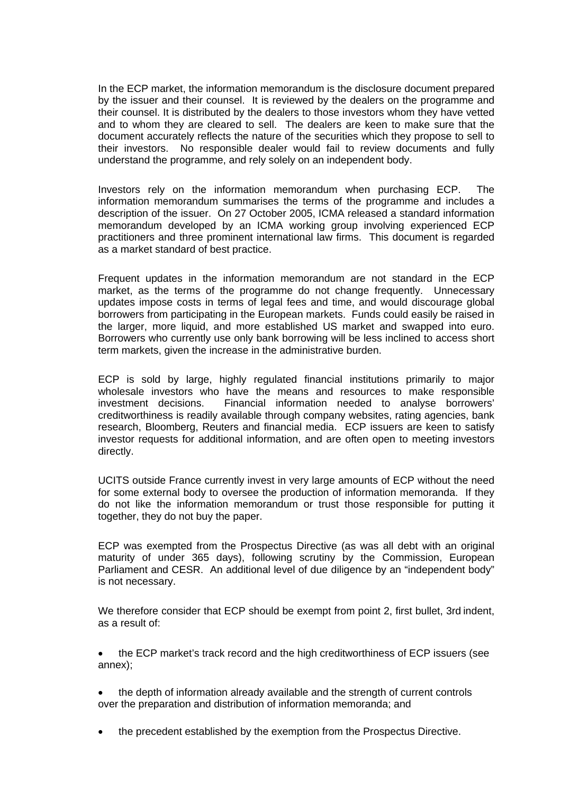In the ECP market, the information memorandum is the disclosure document prepared by the issuer and their counsel. It is reviewed by the dealers on the programme and their counsel. It is distributed by the dealers to those investors whom they have vetted and to whom they are cleared to sell. The dealers are keen to make sure that the document accurately reflects the nature of the securities which they propose to sell to their investors. No responsible dealer would fail to review documents and fully understand the programme, and rely solely on an independent body.

Investors rely on the information memorandum when purchasing ECP. The information memorandum summarises the terms of the programme and includes a description of the issuer. On 27 October 2005, ICMA released a standard information memorandum developed by an ICMA working group involving experienced ECP practitioners and three prominent international law firms. This document is regarded as a market standard of best practice.

Frequent updates in the information memorandum are not standard in the ECP market, as the terms of the programme do not change frequently. Unnecessary updates impose costs in terms of legal fees and time, and would discourage global borrowers from participating in the European markets. Funds could easily be raised in the larger, more liquid, and more established US market and swapped into euro. Borrowers who currently use only bank borrowing will be less inclined to access short term markets, given the increase in the administrative burden.

ECP is sold by large, highly regulated financial institutions primarily to major wholesale investors who have the means and resources to make responsible investment decisions. Financial information needed to analyse borrowers' creditworthiness is readily available through company websites, rating agencies, bank research, Bloomberg, Reuters and financial media. ECP issuers are keen to satisfy investor requests for additional information, and are often open to meeting investors directly.

UCITS outside France currently invest in very large amounts of ECP without the need for some external body to oversee the production of information memoranda. If they do not like the information memorandum or trust those responsible for putting it together, they do not buy the paper.

ECP was exempted from the Prospectus Directive (as was all debt with an original maturity of under 365 days), following scrutiny by the Commission, European Parliament and CESR. An additional level of due diligence by an "independent body" is not necessary.

We therefore consider that ECP should be exempt from point 2, first bullet, 3rd indent, as a result of:

• the ECP market's track record and the high creditworthiness of ECP issuers (see annex);

- the depth of information already available and the strength of current controls over the preparation and distribution of information memoranda; and
- the precedent established by the exemption from the Prospectus Directive.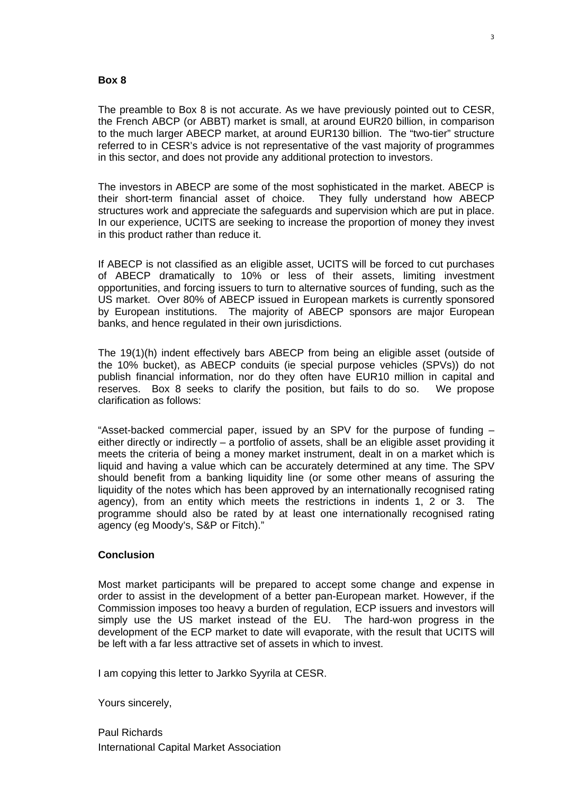#### **Box 8**

The preamble to Box 8 is not accurate. As we have previously pointed out to CESR, the French ABCP (or ABBT) market is small, at around EUR20 billion, in comparison to the much larger ABECP market, at around EUR130 billion. The "two-tier" structure referred to in CESR's advice is not representative of the vast majority of programmes in this sector, and does not provide any additional protection to investors.

The investors in ABECP are some of the most sophisticated in the market. ABECP is their short-term financial asset of choice. They fully understand how ABECP structures work and appreciate the safeguards and supervision which are put in place. In our experience, UCITS are seeking to increase the proportion of money they invest in this product rather than reduce it.

If ABECP is not classified as an eligible asset, UCITS will be forced to cut purchases of ABECP dramatically to 10% or less of their assets, limiting investment opportunities, and forcing issuers to turn to alternative sources of funding, such as the US market. Over 80% of ABECP issued in European markets is currently sponsored by European institutions. The majority of ABECP sponsors are major European banks, and hence regulated in their own jurisdictions.

The 19(1)(h) indent effectively bars ABECP from being an eligible asset (outside of the 10% bucket), as ABECP conduits (ie special purpose vehicles (SPVs)) do not publish financial information, nor do they often have EUR10 million in capital and reserves. Box 8 seeks to clarify the position, but fails to do so. We propose clarification as follows:

"Asset-backed commercial paper, issued by an SPV for the purpose of funding – either directly or indirectly – a portfolio of assets, shall be an eligible asset providing it meets the criteria of being a money market instrument, dealt in on a market which is liquid and having a value which can be accurately determined at any time. The SPV should benefit from a banking liquidity line (or some other means of assuring the liquidity of the notes which has been approved by an internationally recognised rating agency), from an entity which meets the restrictions in indents 1, 2 or 3. The programme should also be rated by at least one internationally recognised rating agency (eg Moody's, S&P or Fitch)."

### **Conclusion**

Most market participants will be prepared to accept some change and expense in order to assist in the development of a better pan-European market. However, if the Commission imposes too heavy a burden of regulation, ECP issuers and investors will simply use the US market instead of the EU. The hard-won progress in the development of the ECP market to date will evaporate, with the result that UCITS will be left with a far less attractive set of assets in which to invest.

I am copying this letter to Jarkko Syyrila at CESR.

Yours sincerely,

Paul Richards International Capital Market Association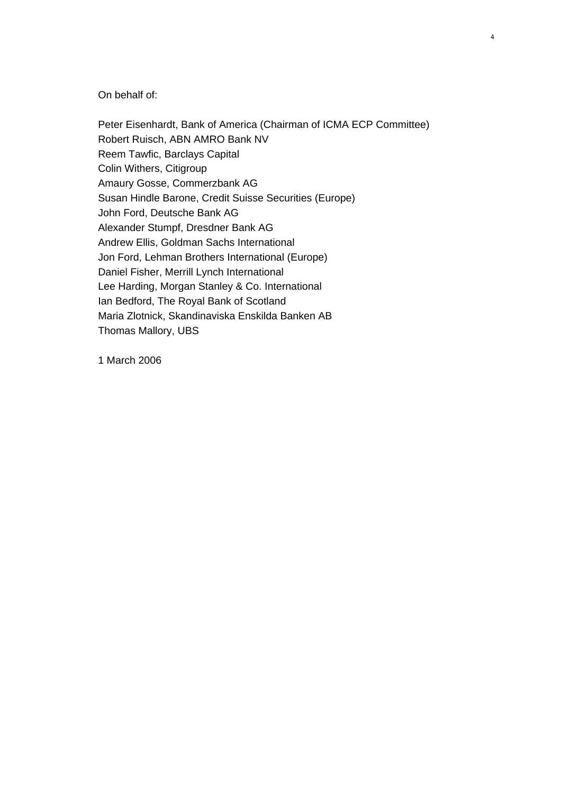### On behalf of:

Peter Eisenhardt, Bank of America (Chairman of ICMA ECP Committee) Robert Ruisch, ABN AMRO Bank NV Reem Tawfic, Barclays Capital Colin Withers, Citigroup Amaury Gosse, Commerzbank AG Susan Hindle Barone, Credit Suisse Securities (Europe) John Ford, Deutsche Bank AG Alexander Stumpf, Dresdner Bank AG Andrew Ellis, Goldman Sachs International Jon Ford, Lehman Brothers International (Europe) Daniel Fisher, Merrill Lynch International Lee Harding, Morgan Stanley & Co. International Ian Bedford, The Royal Bank of Scotland Maria Zlotnick, Skandinaviska Enskilda Banken AB Thomas Mallory, UBS

1 March 2006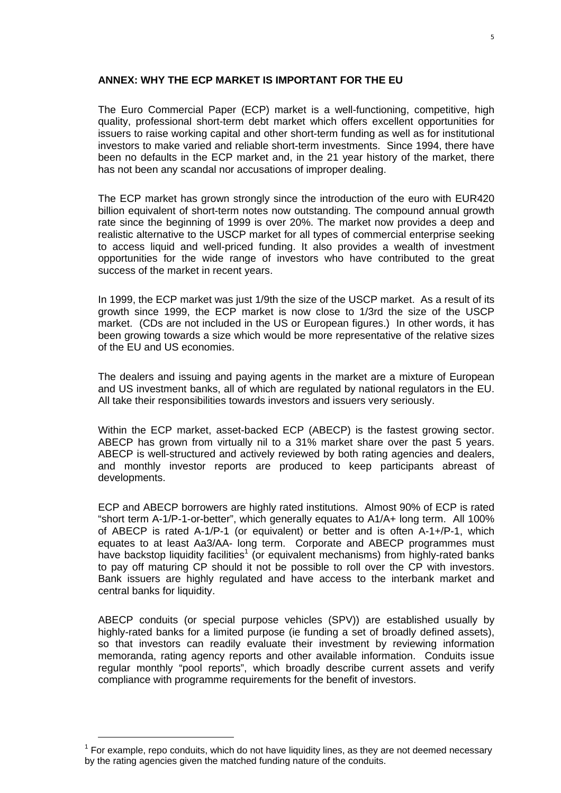#### **ANNEX: WHY THE ECP MARKET IS IMPORTANT FOR THE EU**

The Euro Commercial Paper (ECP) market is a well-functioning, competitive, high quality, professional short-term debt market which offers excellent opportunities for issuers to raise working capital and other short-term funding as well as for institutional investors to make varied and reliable short-term investments. Since 1994, there have been no defaults in the ECP market and, in the 21 year history of the market, there has not been any scandal nor accusations of improper dealing.

The ECP market has grown strongly since the introduction of the euro with EUR420 billion equivalent of short-term notes now outstanding. The compound annual growth rate since the beginning of 1999 is over 20%. The market now provides a deep and realistic alternative to the USCP market for all types of commercial enterprise seeking to access liquid and well-priced funding. It also provides a wealth of investment opportunities for the wide range of investors who have contributed to the great success of the market in recent years.

In 1999, the ECP market was just 1/9th the size of the USCP market. As a result of its growth since 1999, the ECP market is now close to 1/3rd the size of the USCP market. (CDs are not included in the US or European figures.) In other words, it has been growing towards a size which would be more representative of the relative sizes of the EU and US economies.

The dealers and issuing and paying agents in the market are a mixture of European and US investment banks, all of which are regulated by national regulators in the EU. All take their responsibilities towards investors and issuers very seriously.

Within the ECP market, asset-backed ECP (ABECP) is the fastest growing sector. ABECP has grown from virtually nil to a 31% market share over the past 5 years. ABECP is well-structured and actively reviewed by both rating agencies and dealers, and monthly investor reports are produced to keep participants abreast of developments.

ECP and ABECP borrowers are highly rated institutions. Almost 90% of ECP is rated "short term A-1/P-1-or-better", which generally equates to A1/A+ long term. All 100% of ABECP is rated A-1/P-1 (or equivalent) or better and is often A-1+/P-1, which equates to at least Aa3/AA- long term. Corporate and ABECP programmes must have backstop liquidity facilities<sup>[1](#page-4-0)</sup> (or equivalent mechanisms) from highly-rated banks to pay off maturing CP should it not be possible to roll over the CP with investors. Bank issuers are highly regulated and have access to the interbank market and central banks for liquidity.

ABECP conduits (or special purpose vehicles (SPV)) are established usually by highly-rated banks for a limited purpose (ie funding a set of broadly defined assets), so that investors can readily evaluate their investment by reviewing information memoranda, rating agency reports and other available information. Conduits issue regular monthly "pool reports", which broadly describe current assets and verify compliance with programme requirements for the benefit of investors.

-

<span id="page-4-0"></span> $1$  For example, repo conduits, which do not have liquidity lines, as they are not deemed necessary by the rating agencies given the matched funding nature of the conduits.